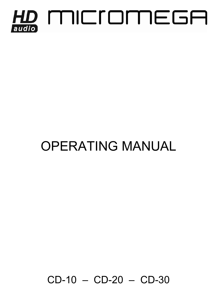

# OPERATING MANUAL

CD-10 – CD-20 – CD-30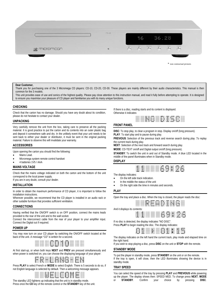

\* non contractual pictures

#### **Dear Customer,**

Thank you for purchasing one of the 3 Micromega CD players: CD-10, CD-20, CD-30. These players are mainly different by their audio characteristics. This manual is then common for the 3 models.

This unit provides ease of use and sonics of the highest quality. Please pay close attention to this instruction manual, and read it fully before attempting to operate. It is designed to ensure you maximise your pleasure of CD player and familiarise you with its many unique functions.

#### **CHECKING**

Check that the carton has no damage. Should you have any doubt about its condition, please do not hesitate to contact your dealer.

#### **UNPACKING**

Very carefully remove the unit from the box, taking care to preserve all the packing material. It is good practice to put the carton and its contents into an outer plastic bag and deposit it somewhere safe and dry. In the unlikely event that your unit needs to be sent back to either your dealer or distributor, it must be sent in the original packing material. Failure to observe this will invalidate your warranty.

#### **ACCESSORIES**

Upon opening the carton you should find the following:

- Mains Lead.
- Micromega system remote control handset
- 4 batteries 1V5 / AAA

#### **MAINS VOLTAGE**

Check that the mains voltage indicated on both the carton and the bottom of the unit correspond to the local power supply.

If you are in any doubt, consult your dealer.

### **INSTALLATION**

In order to obtain the maximum performance of CD player, it is important to follow the installation instructions.

Wherever possible, we recommend that the CD player is installed in an audio rack or other suitable furniture that provides sufficient ventilation.

#### **CONNECTIONS**

Having verified that the ON/OFF switch is on OFF position, connect the mains leads provided to the rear of the unit and to the wall socket.

Connect the interconnect cable from the rear of your player to your amplifier input. Connect the Digital out if required.

#### **POWER UP**

You may now turn on your CD player by switching the ON/OFF switch located at the back of the unit. A message "CD" is written for a second.



At first start-up, or when both keys **NEXT** and **PREV** are pressed simultaneously and when power is switched on, you can choose the displaying language of your player:



Press **PLAY** to select French or **MODE** to select English. There is 5 seconds to do so, if not English language is selected by default. Then a welcoming message appears.



The standby LED lightens up indicating that the unit is in standby mode. Press once the **CD** key of the remote control or the **STANDBY** key of the unit. If there is a disc, reading starts and its content is displayed. Otherwise it indicates:



#### **FRONT PANEL**

**DISC**: To stop play, to clear a program in stop. Display on/off (long pressure). **PLAY**: To start play and to pause during play.

**PREVIOUS**: Selection of the previous track and reverse search during play .To replay the current track during play.

**NEXT**: Selection of the next track and forward search during play.

**MODE**: CD-TEXT on/off and Digital output on/off (long pressure).

**STANDBY**: To switch the unit in and out of Standby mode. A blue LED located in the middle of the panel illuminates when in Standby mode.

#### **DISPLAY**

| <b>THEFT F</b><br>10 M T 1 |  | <b>ALLES ATTENT ATTENTS</b> | ה אחדות אחדות הדרות הדרות הדרות . | والمستر الموادي المستحقق المستحقق والمستحق المستحق المستحقق المستحقق<br>STEEL SHEEL \$200 NOW SHEEL SHEEL \$200<br>والمتعارض والمنافر والمراوي فتتواط والتوار والتوار والتوار<br><b>CONTRACTOR CONTRACTO COMPANY CONTRACTOR</b> | <b>ALL DEAL BLUE</b><br>----- --- |  |
|----------------------------|--|-----------------------------|-----------------------------------|---------------------------------------------------------------------------------------------------------------------------------------------------------------------------------------------------------------------------------|-----------------------------------|--|
|                            |  |                             |                                   |                                                                                                                                                                                                                                 |                                   |  |

The display indicates:

- On the left side track indication.
- In the middle the status of the unit
- On the right side the time in minutes and seconds.

**PLAY**

Open the tray and place a disc. When the tray is closed, the player reads the disc:



If no disc is detected, the display indicates "NO DISC".

Press PLAY to begin reading the disc. The display indicates:

| <b>BELLEVILLE</b><br><b>COLORED AND REAL</b><br><b>. BELLET</b> | <b>THE REAL PROPERTY</b><br><b>ALLIED CONTRACT</b><br><b>TELEVISION</b><br><b>TELEVISION</b><br><b>THE R</b><br>T T<br><b>HELL</b> | <b>COLOR</b> | OUTED OTHER<br><b>CLASS CONTRACTOR</b><br><b>THEFT</b><br>and the company<br><b>THE TELEVIS</b><br><b>COLOR</b> | <b>OUTER</b><br><b>FIFTING</b><br><b>DODO</b> | <b>PERSONAL PROPERTY AND RESIDENTS</b><br><b>BUTTER</b><br><b>THEFT</b> | <b>CONTRACTOR</b><br>T.<br><b>THE</b> | <b>THEFT</b><br><b>THEFT</b><br>HE. | <b>THEFT</b><br><b>CONTRACTOR</b><br><b>ALCOHOL:</b><br><b>THE STATE</b><br><b>THE R</b> | $\blacksquare$<br><br><b>NUMBER</b> |
|-----------------------------------------------------------------|------------------------------------------------------------------------------------------------------------------------------------|--------------|-----------------------------------------------------------------------------------------------------------------|-----------------------------------------------|-------------------------------------------------------------------------|---------------------------------------|-------------------------------------|------------------------------------------------------------------------------------------|-------------------------------------|
|-----------------------------------------------------------------|------------------------------------------------------------------------------------------------------------------------------------|--------------|-----------------------------------------------------------------------------------------------------------------|-----------------------------------------------|-------------------------------------------------------------------------|---------------------------------------|-------------------------------------|------------------------------------------------------------------------------------------|-------------------------------------|

The display indicates on the left hand the current track, play mode and elapsed time on the right hand.

If you wish to stop playing a disc, press **DISC** on the unit or **STOP** with the remote.

#### **STANDBY MODE**

To put the player in standby mode, press **STANDBY** on the unit or on the remote. If the tray is open, it will close, then the LED illuminates showing the device is in standby mode.

#### **TRAY SPEED**

You can select the speed of the tray by pressing **PLAY** and **PREVIOUS** while powering up the player. The display shows then: SPEED MED. To change press **NEXT**, **MODE** or **STANDBY**. Confirm your choice by pressing **DISC**.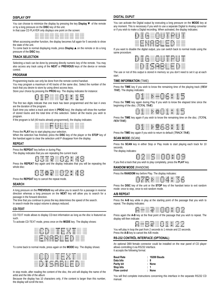### **DISPLAY OFF**

You can choose to minimize the display by pressing the key **Display ▼** of the remote or by a long pressure on the **DISC** key of the unit.



When accessing another function, the display becomes full again for 5 seconds to show the state of the unit.

To come back to normal displaying mode, press **Display ▲**on the remote or do a long pressure of the **DISC** key.

#### **TRACK SELECTION**

Selecting a track can be done by pressing directly numeric key of the remote. You may also access any track using of the **NEXT** or **PREVIOUS** keys of the device or remote control.

#### **PROGRAM**

Programming tracks can only be done from the remote control handset.

You may program a maximum of 40 tracks of the same disc. Select the number of the track that you desire to store by using direct access keys.

Store your choice by pressing the PROG key. The display indicates for instance:



The first two digits indicate that one track has been programmed and the last 4 ones are the duration of the program.

Each time you select a track and store it (**PROG** key), the display will show the number of stored tracks and the total time of this selection. Select all the tracks you wish to program.

If the program is full (40 tracks already programmed), the display indicates:



Press the **PLAY** key to start playing your selection.

When the selection has finished, press the **DISC** key of the player or the **STOP** key of the handset again to clear the selection until P disappear from the display.

#### **REPEAT**

Press the **REPEAT** key before or during Play.

The display indicates that you are repeating the current track:

臘 ₩ 灩

Press the **REPEAT** key again and the display indicates that you will be repeating the whole disc:



Press the **REPEAT** key to cancel the repeat mode.

#### **SEARCH**

A long pressure on the **PREVIOUS** key will allow you to search for a passage in reverse direction whereas a long pressure on the **NEXT** key will allow you to search for a passage in the forward direction.

The time that you continue to press the key determines the speed of the search.

In search mode the output volume is always reduced.

#### **CD-TEXT**

CD-TEXT mode allows to display CD-text information as long as the disc is featured as such.

To activate CD-TEXT mode, press once on the **MODE** key. The display shows:

| 10000<br><b>ITTI</b><br><b>TELESCO</b><br>ممالك<br><b>INDUSTRI</b><br>تتنتات<br>10000 | .<br>--<br>TIEE<br><b>BULLER</b><br><b>THEFT</b>                       | <b>The State</b><br><b>BULLER</b><br>.<br><b>HOMES</b>              | aanaa<br><b>COLOR</b><br><b>CONTRACTO</b><br>000000<br><b>BOOD</b><br><b>DODOD</b> | <b>MANAH</b><br>n a m<br><b>ILL IS</b><br>mт<br>東田<br>E.<br><b>COMPANY</b>              | ----<br><b>ALL AND REAL</b><br><b>Service</b><br><b>SHIPS</b><br>nia nin                    | <b>MODE</b><br><b>MELTING</b><br><b>MELTING</b>   | m.<br><b>COMPANY</b><br>. .<br><b>COMPOS</b>                        | 10000<br>----<br>00000<br>800 C<br>00000                                                              | 10000<br><b>DELLE</b><br><b>CONTRACTOR</b><br><b>DELLE</b><br><b>BREED</b><br><b>DRAMA</b> |
|---------------------------------------------------------------------------------------|------------------------------------------------------------------------|---------------------------------------------------------------------|------------------------------------------------------------------------------------|-----------------------------------------------------------------------------------------|---------------------------------------------------------------------------------------------|---------------------------------------------------|---------------------------------------------------------------------|-------------------------------------------------------------------------------------------------------|--------------------------------------------------------------------------------------------|
| mm<br>mm<br><b>COLOR</b><br>mm<br><b>COLOR</b><br>mm<br><b>CONTRACTOR</b>             | $\blacksquare$<br><b>ALCOHOL:</b><br><b>ARTIST 1</b><br>$\blacksquare$ | <b>KILLER</b><br><br>.<br><b>THE R. P. LEWIS</b><br><b>ALL 1999</b> | <b>CHARGE</b><br><b>BUTTER</b><br>$\blacksquare$<br>----<br>TIT O                  | <b>ALL 1988</b><br>$\blacksquare$<br><b>ALL 10</b><br>$\blacksquare$<br><b>ALCOHOL:</b> | $\blacksquare$<br>ш<br>$\blacksquare$<br><b>ALL THE</b><br>$\blacksquare$<br><b>SERVICE</b> | <br>TTTT<br><b>MODEL</b><br><br>m<br><b>TITLE</b> | <br>n<br><b>ALL BUT</b><br>$\blacksquare$<br><b>ALCOHOL:</b><br>. . | mmm<br><b>BELLET</b><br>----<br><b>DITTIE</b><br>mmmmmmmmmmm<br><b>Bridge Accountance Instruments</b> | <b>STORE</b><br><b>MARKET</b><br>7000<br>oom<br>1000<br><b>COLOR</b>                       |

To come back to normal mode, press again on the **MODE** key. The display shows:

| 17.TT<br><b>111111</b><br>1777<br>00 T.T                                | <br><b>MARKET</b><br>. .<br>mm<br>TT T<br><b>THEFT</b> | <b>HELL</b><br><b>NOTES</b><br>.<br>. .<br> | <b>FEBRUA</b><br>5566<br>mmmmmm<br>-1777<br>nmm<br>mmm<br><b>DOUGLE</b> | <b>MAGNET</b><br><b>TELEVISION</b><br>m<br>ı<br>m<br>m<br>ш<br><b>The Contract</b><br>mг | <b>BOOK AND A</b><br>$\blacksquare$<br><b>BELLET</b><br>Se e e T<br>ш<br>m<br>$\blacksquare$<br><b>Barrow</b> | $\blacksquare$<br><b>TIME</b><br>m<br><b>THE REAL</b><br>.<br>. . | <br>ПF<br>ш<br>mr<br><b>TILL</b> | <b>FRIDE</b><br><b>TELEVISION</b><br><b>DOUGLE</b>              | <b>GELERY</b><br>700 T<br>----<br>10000<br><b>100000</b><br><b>FIFTEE</b> |
|-------------------------------------------------------------------------|--------------------------------------------------------|---------------------------------------------|-------------------------------------------------------------------------|------------------------------------------------------------------------------------------|---------------------------------------------------------------------------------------------------------------|-------------------------------------------------------------------|----------------------------------|-----------------------------------------------------------------|---------------------------------------------------------------------------|
| 888<br><b>COUNTER</b><br><u>rittit</u><br>anar<br><b>BELLET</b><br>anna | <b>TELL</b><br>anno<br><b>STATISTICS</b><br>.          | 带                                           | <br>.<br>1000<br>W.                                                     | an an<br><b>Service</b><br>₩                                                             | <b>SAMPLE</b><br><b>Service</b><br>u.                                                                         | <b>B</b> erry<br><b>BEFFE</b><br><b>TITLE</b><br>H.               | 1000<br>a.<br>TT<br>н<br>1       | <b>RELL</b><br><b>TTP</b><br><b>TIME</b><br>1866<br><b>FILL</b> | <b>TITLE</b><br><b>TELEVISION</b><br>0000                                 |

In stop mode, after reading the content of the disc, the unit will display the name of the artist and the title of the album

Because the display has 10 characters only, if the content is larger than this number, the display will scroll the text.

#### **DIGITAL OUPUT**

You can activate the Digital output by executing a long pressure on the **MODE** key at any moment. This is necessary if you wish to use a separate Digital to Analog converter or if you wish to make a Digital recording. When activated, the display indicates:

| $\blacksquare$<br><b>THE</b><br>$\blacksquare$<br>œ<br>$\blacksquare$<br>n an a<br>$\blacksquare$ | <b>CONTRACT</b><br><b>The Control</b><br>m<br><b>THEFT</b><br>m<br><b>TELEVISION</b><br>m<br><b>THE 27 YEAR</b><br>m<br><b>CONTRACTOR</b><br><b>BULL</b> | <b>THE R</b><br><b>STORY</b><br>$\blacksquare$<br>.<br><b>BUT THE</b><br><b>ALCOHOL: 4</b><br><b>THEFT</b> | <b>DITTIN</b><br><b>DITTIN</b><br>00000<br><b>HITLE</b><br>00000<br><b>CONTRACTOR</b><br><b>DETER</b> | <b>THEFT</b><br><b>ALL AND REAL</b><br>$\mathbf{r}$<br><b>MILLION</b><br>.<br>×.<br><b>BLUE</b><br><b>ALL 19</b> | <b>KILLER</b><br><b>MELTING</b><br>×<br>T<br>m<br>×<br><b>MILLER</b><br>×<br><b>FULLY</b> | <br><b>TELEVIS</b><br>m<br><b>KILL</b><br>m<br>œ<br>$\blacksquare$<br>m<br><b>THE REAL</b><br><b>THE R</b><br>m | <b>FRIDAY</b><br><b>MILLION</b><br><b>MELTING</b><br><br><b>TITLE</b><br>ш<br><b>FULLY</b><br><b>MELTING</b> | .<br><b>ALL 1989</b><br><b>METER</b><br>.<br><b>BELLET BE</b><br><b>HELL BE</b><br><b>THEFT</b> | ш<br>mm.<br>--<br>om.<br>▫<br>om.<br><b>COLOR</b> |
|---------------------------------------------------------------------------------------------------|----------------------------------------------------------------------------------------------------------------------------------------------------------|------------------------------------------------------------------------------------------------------------|-------------------------------------------------------------------------------------------------------|------------------------------------------------------------------------------------------------------------------|-------------------------------------------------------------------------------------------|-----------------------------------------------------------------------------------------------------------------|--------------------------------------------------------------------------------------------------------------|-------------------------------------------------------------------------------------------------|---------------------------------------------------|
| m<br>m<br>m<br>m<br>$\overline{1}$<br>m                                                           | <b>FEETH</b><br><b>CONTRACTOR</b><br>$\blacksquare$<br><b>ALL 10</b><br>$\blacksquare$<br><b>HILL BE</b>                                                 | $\blacksquare$<br><b>HILL BE</b><br><b>MARTINE</b><br>.<br><b>THE</b><br>ш<br>. .                          | <b>THEFT</b><br><b>ALCOHOL:</b><br>$\blacksquare$<br>-----<br><b>BUTTER</b><br><b>ALL THE</b>         | <br><b>ALCOHOL:</b><br><b>STEP 18</b><br><br><b>BUT THE</b><br><b>SILLER</b>                                     | חדר<br>חדר<br>חרונו<br>m<br>ш<br>$\blacksquare$<br>m                                      | <br>$\blacksquare$<br>$\blacksquare$<br><br>$\blacksquare$<br>---                                               | <b>BUT BUT</b><br><b>MILLION</b><br>.<br>$\blacksquare$<br><b>ALCOHOL:</b>                                   | <b>COLOR</b><br><b>CONTROL</b><br><b>COLOR</b><br><b>CONTRACTOR</b><br><b>DOM:N</b><br><b>.</b> | <b>DDD</b><br>mm<br>ooc<br>nn.<br>nn.<br>٥œ       |

If you want to disable the digital output, you can switch back to normal mode using the same procedure:

| <b>BUT BUT</b><br><b>STATE</b><br>$\blacksquare$<br><b>STORY</b><br><b>FRIDAY</b>                                       | . .<br>. .<br>n<br>$\blacksquare$<br>. .<br>œ<br><b>CREATED</b>                 | <b>STORY</b><br><b>ALCOHOL:</b><br>--<br><b>BUT THE</b><br><b>ALC: YES</b><br><b>THEFT</b>           | <b>DITTIN</b><br><b>DELLE DI</b><br>----<br><b>DELLE</b><br><b>DITTER</b><br><b>DITTIN</b> | <b>METALLIC</b><br><b>Hilling</b><br>$\blacksquare$                            | <b>MELTING</b><br><b>MARK</b><br><b>MELTING</b><br><b>FULLY</b><br><b>PERMIT PERMIT</b> | <b>THE R</b><br>œ<br><b>BELLE</b><br>mп<br>œ<br>$\blacksquare$<br>m<br><b>TILL</b><br>- 63<br><b>THE REAL</b> | <b>MELTING</b><br><br>ж<br><b>TITLE</b><br><b>FULLY</b><br><b>FORD</b> | $\blacksquare$<br><b>THE</b><br><b>Britis</b><br><b>DEED</b>                                | <b>TILL BE</b><br>m<br>$\blacksquare$<br><b>TILL</b><br><b>DELLE BELLE</b>                  |
|-------------------------------------------------------------------------------------------------------------------------|---------------------------------------------------------------------------------|------------------------------------------------------------------------------------------------------|--------------------------------------------------------------------------------------------|--------------------------------------------------------------------------------|-----------------------------------------------------------------------------------------|---------------------------------------------------------------------------------------------------------------|------------------------------------------------------------------------|---------------------------------------------------------------------------------------------|---------------------------------------------------------------------------------------------|
| <b>TITLE</b><br><b>TELEVISION</b><br><b>CONTRACTOR</b><br><b>THEFT</b><br><b>COLOR</b><br><b>- 1111</b><br><b>TITLE</b> | <b>MARKET</b><br><b>The County</b><br>. .<br>.<br><b>STORY</b><br><b>HER 11</b> | <b>THEFT</b><br><b>CONTRACTOR</b><br><b>CONTRACTOR</b><br>m<br><b>CONTRACTOR</b><br><b>THEFT</b><br> | ----<br>$\blacksquare$<br><b>COLOR</b><br><br><b>CONTRACTOR</b><br><b>MARINE</b><br>       | <b>CONTRACTOR</b><br><b>STORY STORY</b><br><b>NETTING REGION</b><br><br>.<br>. | <b>MARKET</b><br><br>DO.<br>п<br>m<br>anna anna anno                                    | $\blacksquare$<br>$\blacksquare$<br>$\blacksquare$<br>ш<br>---<br>-----                                       | <br><b>ALL THE</b><br><b>ALCOHOL:</b><br><br><b>ALCOHOL:</b><br>-----  | <b>FRIDAY</b><br><b>NOTES</b><br>жr<br>ш<br><b>COMPANY</b><br><b>SILLER</b><br><b>THE T</b> | <b>CONTENT</b><br><b>CONTENT</b><br><b>DELLE</b><br><b>BELLET</b><br>----<br>nnnn<br>$\Box$ |

The use or not of this output is stored in memory so you don't need to set it up at each start.

#### **TIME INFORMATION** (TIME)

B

Press the **TIME** key if you wish to know the remaining time of the playing track (*REM TIME*). The display indicates:



Press the **TIME** key again during Play if you wish to know the elapsed time since the beginning of the disc. (*TOTAL TIME*):



Press the **TIME** key again if you wish to know the remaining time on the disc. (*TOTAL REM TIME*):



Press the **TIME** key again if you wish to return to default (*TRACK TIME*).

#### **SCAN MODE** (SCAN)

Press the **SCAN** key in either Stop or Play mode to start playing each track for 10 seconds.

The display indicates:



If you find a track that you wish to play completely, press the **PLAY** key.

#### **RANDOM MODE** (RANDOM)

Press the **RANDOM** key before Play. The display indicates:



Press the **DISC** key of the unit or the **STOP** key of the handset twice to exit random mode: once to stop, once to exit random mode.

#### **A/B REPEAT**

Press the **A-B** key while in play at the starting point of the passage that you wish to repeat. The display indicates:



Press again the **A-B** key at the final point of the passage that you wish to repeat. The display will then indicate



You will play in loop the part from 2 seconds to 1 minute and 22 seconds. Press the **A-B** key to cancel the A/B mode

#### **RS-232 CONTRÔL INTERFACE (OPTIONAL)**

An optional DB9 female connector could be installed on the rear panel of CD player allows controlling it via RS232 interface. It accepts the following format:

| <b>Baud Rate</b>    | : 19200 Bauds |
|---------------------|---------------|
| Data bits           | : 8           |
| Parity bit          | : None        |
| Stop bits           | : 1           |
| <b>Flow control</b> | : None        |

You will find complete instructions concerning this interface in the separate RS232 CD manual